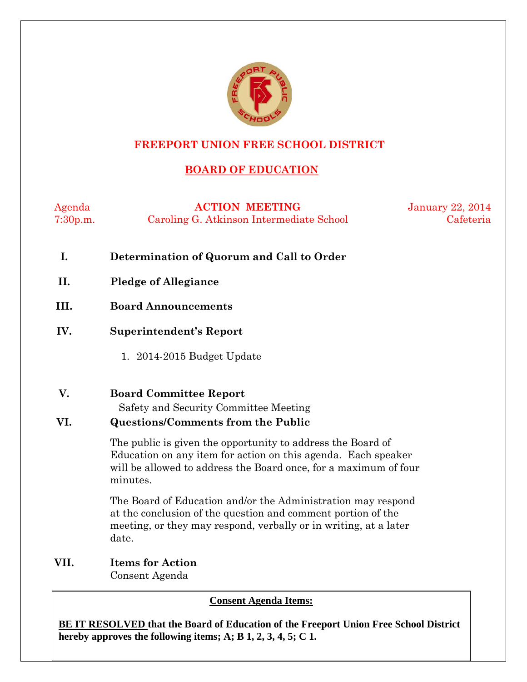

### **FREEPORT UNION FREE SCHOOL DISTRICT**

### **BOARD OF EDUCATION**

Agenda **ACTION MEETING** January 22, 2014 7:30p.m. Caroling G. Atkinson Intermediate School Cafeteria

- **I. Determination of Quorum and Call to Order**
- **II. Pledge of Allegiance**
- **III. Board Announcements**
- **IV. Superintendent's Report** 
	- 1. 2014-2015 Budget Update
- **V. Board Committee Report**

Safety and Security Committee Meeting

### **VI. Questions/Comments from the Public**

The public is given the opportunity to address the Board of Education on any item for action on this agenda. Each speaker will be allowed to address the Board once, for a maximum of four minutes.

The Board of Education and/or the Administration may respond at the conclusion of the question and comment portion of the meeting, or they may respond, verbally or in writing, at a later date.

**VII. Items for Action** Consent Agenda

**Consent Agenda Items:**

**BE IT RESOLVED that the Board of Education of the Freeport Union Free School District hereby approves the following items; A; B 1, 2, 3, 4, 5; C 1.**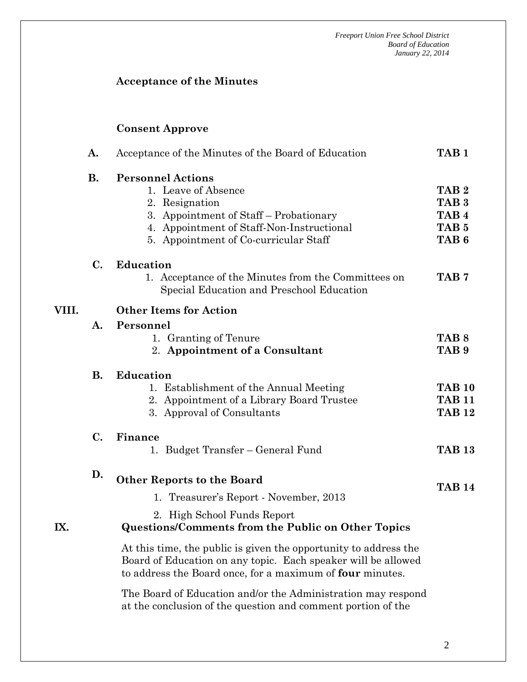### **Acceptance of the Minutes**

### **Consent Approve**

|       | A.        | Acceptance of the Minutes of the Board of Education                                                                                                                                               | TAB <sub>1</sub>                                                                                 |  |  |  |  |
|-------|-----------|---------------------------------------------------------------------------------------------------------------------------------------------------------------------------------------------------|--------------------------------------------------------------------------------------------------|--|--|--|--|
|       | <b>B.</b> | <b>Personnel Actions</b><br>1. Leave of Absence<br>2. Resignation<br>3. Appointment of Staff - Probationary<br>4. Appointment of Staff-Non-Instructional<br>5. Appointment of Co-curricular Staff | TAB <sub>2</sub><br>TAB <sub>3</sub><br>TAB <sub>4</sub><br>TAB <sub>5</sub><br>TAB <sub>6</sub> |  |  |  |  |
|       | C.        | <b>Education</b><br>1. Acceptance of the Minutes from the Committees on<br>Special Education and Preschool Education                                                                              | TAB <sub>7</sub>                                                                                 |  |  |  |  |
| VIII. |           | <b>Other Items for Action</b>                                                                                                                                                                     |                                                                                                  |  |  |  |  |
|       | A.        | Personnel<br>1. Granting of Tenure<br>2. Appointment of a Consultant                                                                                                                              | TAB <sub>8</sub><br>TAB <sub>9</sub>                                                             |  |  |  |  |
|       | <b>B.</b> | <b>Education</b><br>1. Establishment of the Annual Meeting<br>2. Appointment of a Library Board Trustee<br>3. Approval of Consultants                                                             | <b>TAB 10</b><br><b>TAB 11</b><br><b>TAB 12</b>                                                  |  |  |  |  |
|       | C.        | Finance<br>1. Budget Transfer – General Fund                                                                                                                                                      | <b>TAB 13</b>                                                                                    |  |  |  |  |
| IX.   | D.        | <b>Other Reports to the Board</b>                                                                                                                                                                 | <b>TAB 14</b>                                                                                    |  |  |  |  |
|       |           | 1. Treasurer's Report - November, 2013                                                                                                                                                            |                                                                                                  |  |  |  |  |
|       |           | 2. High School Funds Report<br><b>Questions/Comments from the Public on Other Topics</b>                                                                                                          |                                                                                                  |  |  |  |  |
|       |           | At this time, the public is given the opportunity to address the<br>Board of Education on any topic. Each speaker will be allowed<br>to address the Board once, for a maximum of four minutes.    |                                                                                                  |  |  |  |  |
|       |           | The Board of Education and/or the Administration may respond<br>at the conclusion of the question and comment portion of the                                                                      |                                                                                                  |  |  |  |  |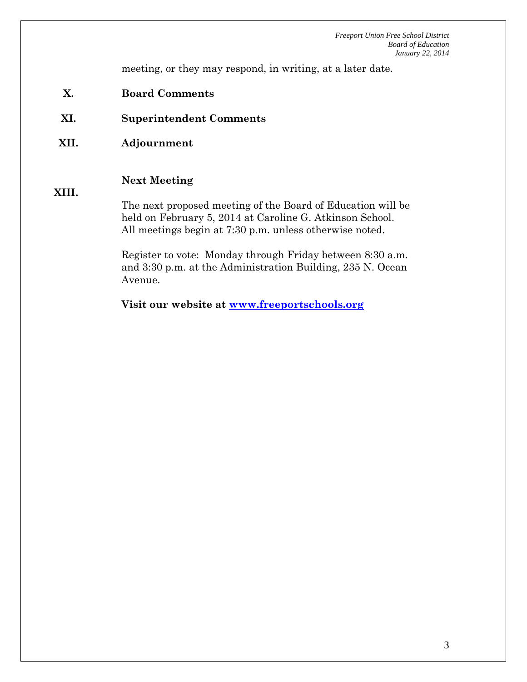meeting, or they may respond, in writing, at a later date.

- **X. Board Comments**
- **XI. Superintendent Comments**
- **XII. Adjournment**

#### **Next Meeting**

#### **XIII.**

The next proposed meeting of the Board of Education will be held on February 5, 2014 at Caroline G. Atkinson School. All meetings begin at 7:30 p.m. unless otherwise noted.

Register to vote: Monday through Friday between 8:30 a.m. and 3:30 p.m. at the Administration Building, 235 N. Ocean Avenue.

**Visit our website at [www.freeportschools.org](http://www.freeportschools.org/)**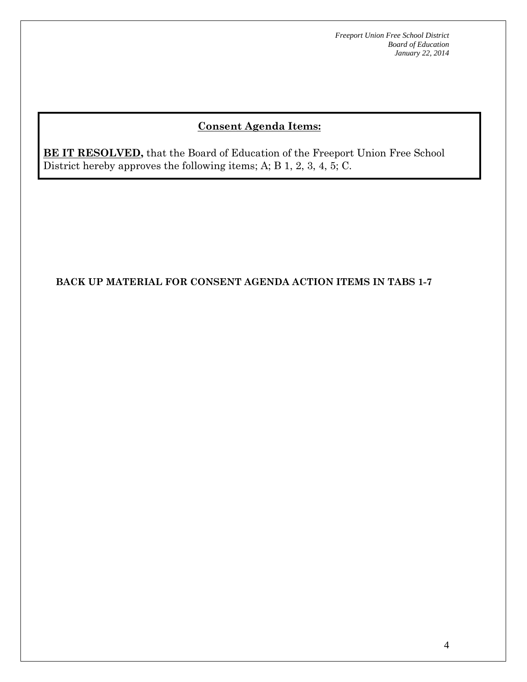## **Consent Agenda Items:**

**BE IT RESOLVED,** that the Board of Education of the Freeport Union Free School District hereby approves the following items; A; B 1, 2, 3, 4, 5; C.

### **BACK UP MATERIAL FOR CONSENT AGENDA ACTION ITEMS IN TABS 1-7**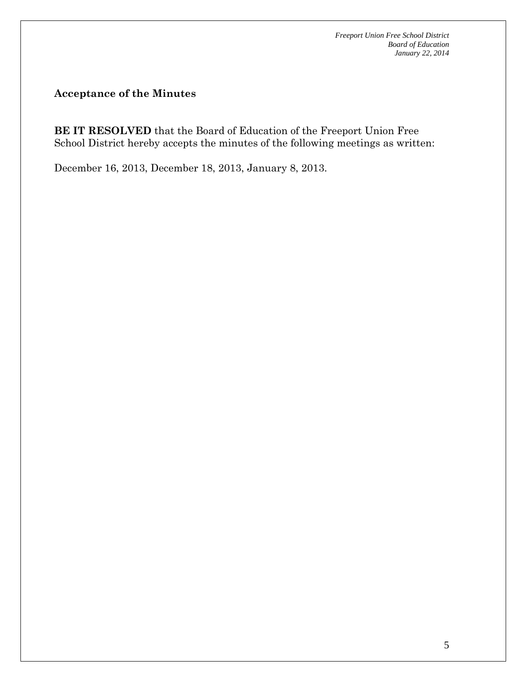**Acceptance of the Minutes**

**BE IT RESOLVED** that the Board of Education of the Freeport Union Free School District hereby accepts the minutes of the following meetings as written:

December 16, 2013, December 18, 2013, January 8, 2013.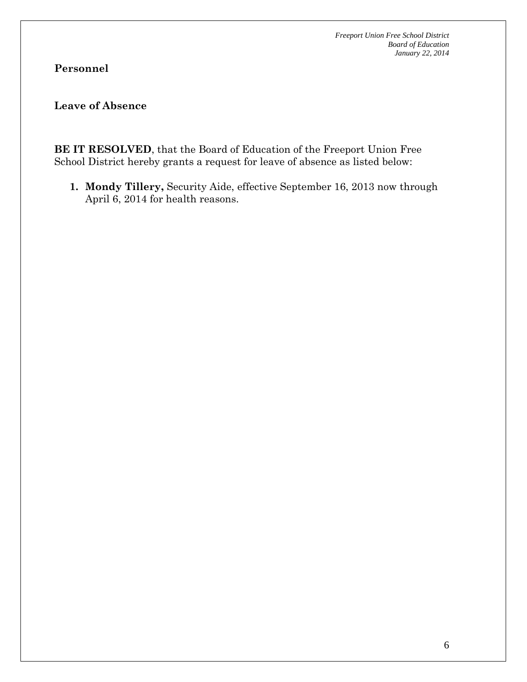## **Personnel**

### **Leave of Absence**

**BE IT RESOLVED**, that the Board of Education of the Freeport Union Free School District hereby grants a request for leave of absence as listed below:

**1. Mondy Tillery,** Security Aide, effective September 16, 2013 now through April 6, 2014 for health reasons.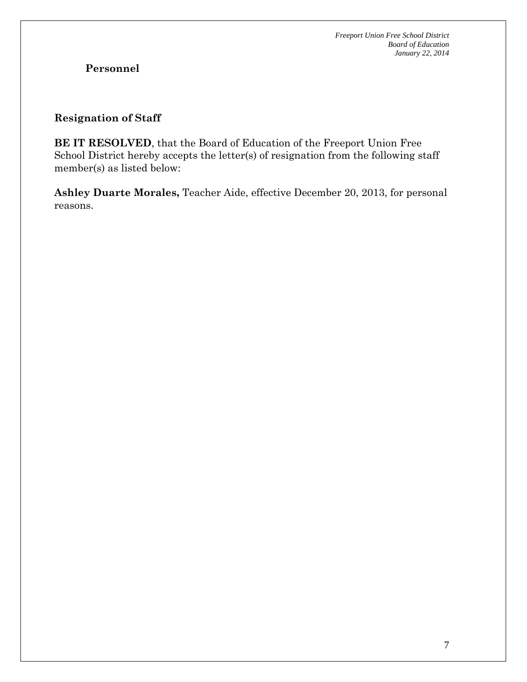## **Personnel**

### **Resignation of Staff**

**BE IT RESOLVED**, that the Board of Education of the Freeport Union Free School District hereby accepts the letter(s) of resignation from the following staff member(s) as listed below:

**Ashley Duarte Morales,** Teacher Aide, effective December 20, 2013, for personal reasons.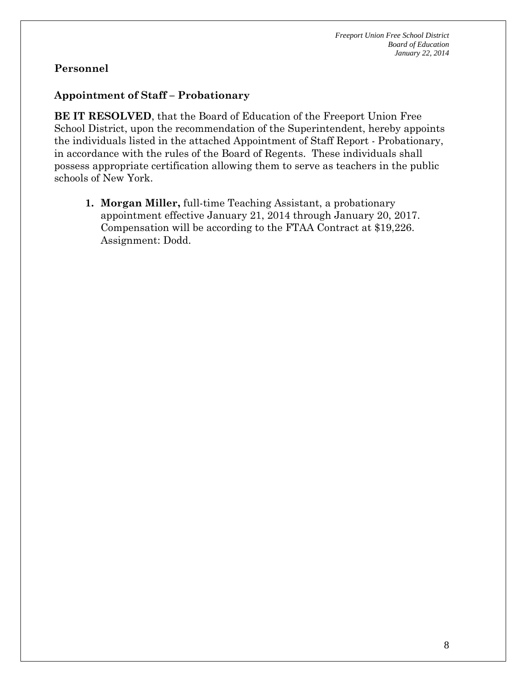### **Personnel**

### **Appointment of Staff – Probationary**

**BE IT RESOLVED**, that the Board of Education of the Freeport Union Free School District, upon the recommendation of the Superintendent, hereby appoints the individuals listed in the attached Appointment of Staff Report - Probationary, in accordance with the rules of the Board of Regents. These individuals shall possess appropriate certification allowing them to serve as teachers in the public schools of New York.

**1. Morgan Miller,** full-time Teaching Assistant, a probationary appointment effective January 21, 2014 through January 20, 2017. Compensation will be according to the FTAA Contract at \$19,226. Assignment: Dodd.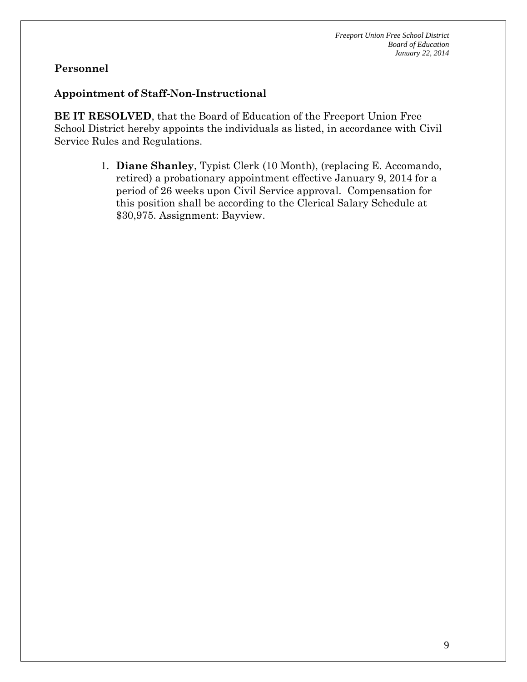### **Personnel**

### **Appointment of Staff-Non-Instructional**

**BE IT RESOLVED**, that the Board of Education of the Freeport Union Free School District hereby appoints the individuals as listed, in accordance with Civil Service Rules and Regulations.

> 1. **Diane Shanley**, Typist Clerk (10 Month), (replacing E. Accomando, retired) a probationary appointment effective January 9, 2014 for a period of 26 weeks upon Civil Service approval. Compensation for this position shall be according to the Clerical Salary Schedule at \$30,975. Assignment: Bayview.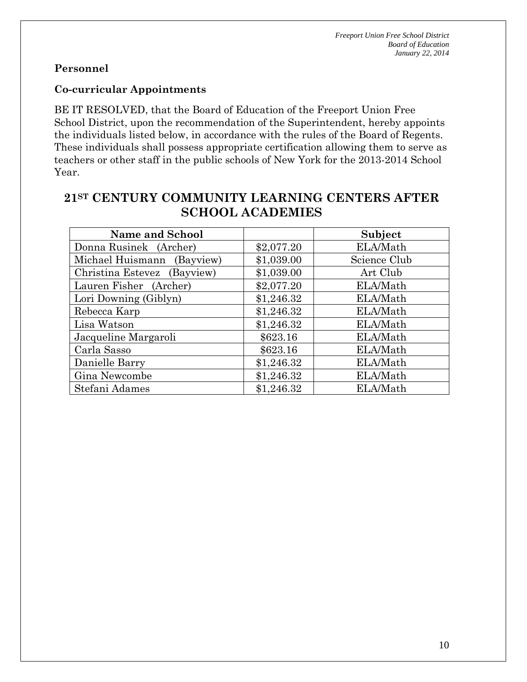### **Personnel**

#### **Co-curricular Appointments**

BE IT RESOLVED, that the Board of Education of the Freeport Union Free School District, upon the recommendation of the Superintendent, hereby appoints the individuals listed below, in accordance with the rules of the Board of Regents. These individuals shall possess appropriate certification allowing them to serve as teachers or other staff in the public schools of New York for the 2013-2014 School Year.

# **21ST CENTURY COMMUNITY LEARNING CENTERS AFTER SCHOOL ACADEMIES**

| <b>Name and School</b>      |            | Subject      |
|-----------------------------|------------|--------------|
| Donna Rusinek (Archer)      | \$2,077.20 | ELA/Math     |
| Michael Huismann (Bayview)  | \$1,039.00 | Science Club |
| Christina Estevez (Bayview) | \$1,039.00 | Art Club     |
| Lauren Fisher (Archer)      | \$2,077.20 | ELA/Math     |
| Lori Downing (Giblyn)       | \$1,246.32 | ELA/Math     |
| Rebecca Karp                | \$1,246.32 | ELA/Math     |
| Lisa Watson                 | \$1,246.32 | ELA/Math     |
| Jacqueline Margaroli        | \$623.16   | ELA/Math     |
| Carla Sasso                 | \$623.16   | ELA/Math     |
| Danielle Barry              | \$1,246.32 | ELA/Math     |
| Gina Newcombe               | \$1,246.32 | ELA/Math     |
| Stefani Adames              | \$1,246.32 | ELA/Math     |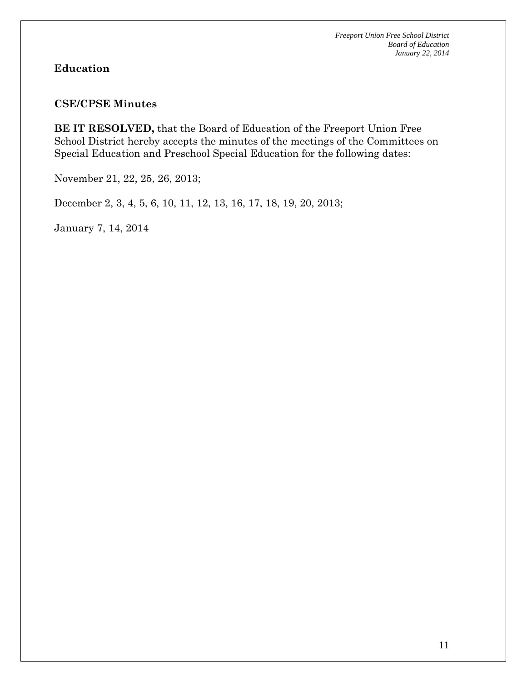### **Education**

#### **CSE/CPSE Minutes**

**BE IT RESOLVED,** that the Board of Education of the Freeport Union Free School District hereby accepts the minutes of the meetings of the Committees on Special Education and Preschool Special Education for the following dates:

November 21, 22, 25, 26, 2013;

December 2, 3, 4, 5, 6, 10, 11, 12, 13, 16, 17, 18, 19, 20, 2013;

January 7, 14, 2014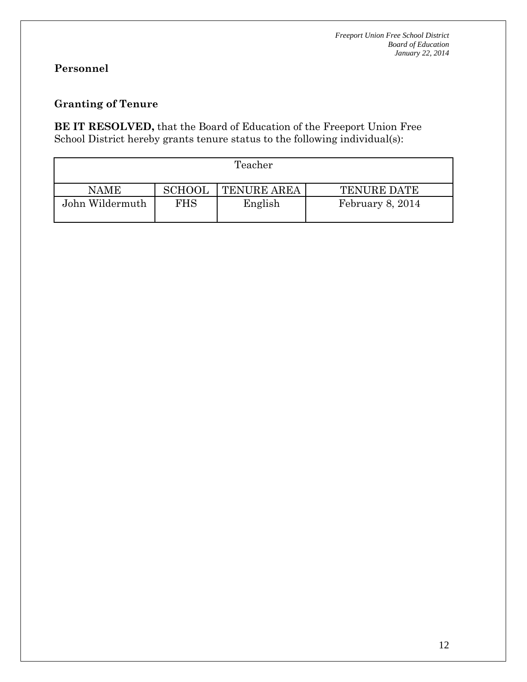# **Personnel**

### **Granting of Tenure**

**BE IT RESOLVED,** that the Board of Education of the Freeport Union Free School District hereby grants tenure status to the following individual(s):

| Teacher         |               |                    |                    |  |  |  |  |  |
|-----------------|---------------|--------------------|--------------------|--|--|--|--|--|
| <b>NAME</b>     | <b>SCHOOL</b> | <b>TENURE AREA</b> | <b>TENURE DATE</b> |  |  |  |  |  |
| John Wildermuth | FHS           | English            | February 8, 2014   |  |  |  |  |  |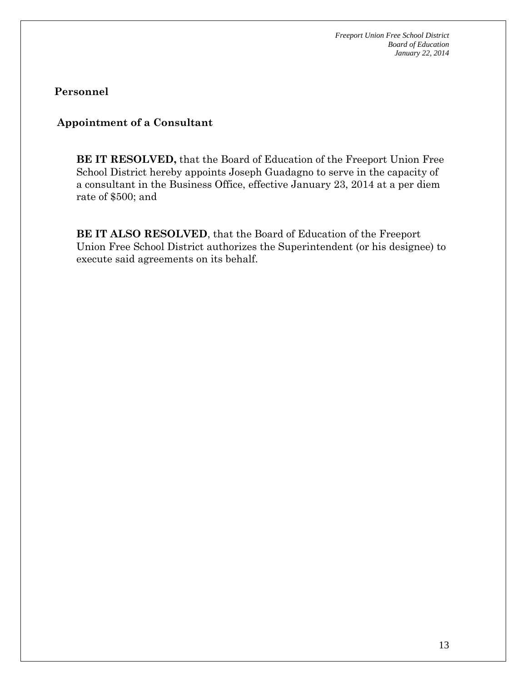**Personnel**

### **Appointment of a Consultant**

**BE IT RESOLVED,** that the Board of Education of the Freeport Union Free School District hereby appoints Joseph Guadagno to serve in the capacity of a consultant in the Business Office, effective January 23, 2014 at a per diem rate of \$500; and

**BE IT ALSO RESOLVED**, that the Board of Education of the Freeport Union Free School District authorizes the Superintendent (or his designee) to execute said agreements on its behalf.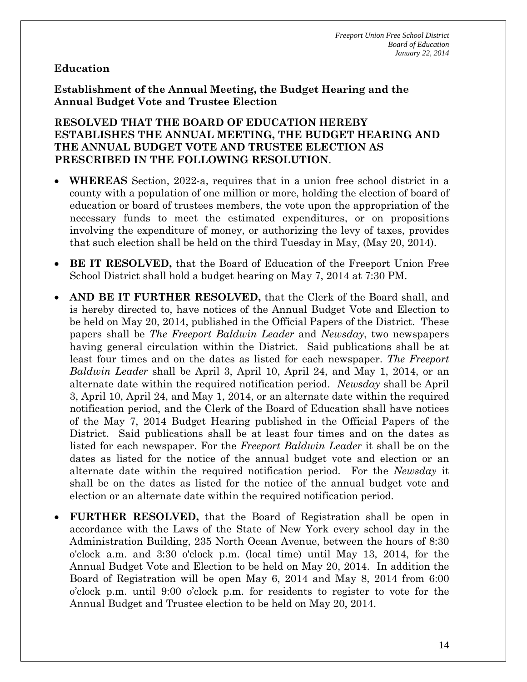### **Education**

**Establishment of the Annual Meeting, the Budget Hearing and the Annual Budget Vote and Trustee Election**

#### **RESOLVED THAT THE BOARD OF EDUCATION HEREBY ESTABLISHES THE ANNUAL MEETING, THE BUDGET HEARING AND THE ANNUAL BUDGET VOTE AND TRUSTEE ELECTION AS PRESCRIBED IN THE FOLLOWING RESOLUTION**.

- **WHEREAS** Section, 2022-a, requires that in a union free school district in a county with a population of one million or more, holding the election of board of education or board of trustees members, the vote upon the appropriation of the necessary funds to meet the estimated expenditures, or on propositions involving the expenditure of money, or authorizing the levy of taxes, provides that such election shall be held on the third Tuesday in May, (May 20, 2014).
- **BE IT RESOLVED,** that the Board of Education of the Freeport Union Free School District shall hold a budget hearing on May 7, 2014 at 7:30 PM.
- **AND BE IT FURTHER RESOLVED,** that the Clerk of the Board shall, and is hereby directed to, have notices of the Annual Budget Vote and Election to be held on May 20, 2014, published in the Official Papers of the District. These papers shall be *The Freeport Baldwin Leader* and *Newsday*, two newspapers having general circulation within the District. Said publications shall be at least four times and on the dates as listed for each newspaper. *The Freeport Baldwin Leader* shall be April 3, April 10, April 24, and May 1, 2014, or an alternate date within the required notification period. *Newsday* shall be April 3, April 10, April 24, and May 1, 2014, or an alternate date within the required notification period, and the Clerk of the Board of Education shall have notices of the May 7, 2014 Budget Hearing published in the Official Papers of the District. Said publications shall be at least four times and on the dates as listed for each newspaper. For the *Freeport Baldwin Leader* it shall be on the dates as listed for the notice of the annual budget vote and election or an alternate date within the required notification period. For the *Newsday* it shall be on the dates as listed for the notice of the annual budget vote and election or an alternate date within the required notification period.
- **FURTHER RESOLVED,** that the Board of Registration shall be open in accordance with the Laws of the State of New York every school day in the Administration Building, 235 North Ocean Avenue, between the hours of 8:30 o'clock a.m. and 3:30 o'clock p.m. (local time) until May 13, 2014, for the Annual Budget Vote and Election to be held on May 20, 2014. In addition the Board of Registration will be open May 6, 2014 and May 8, 2014 from 6:00 o'clock p.m. until 9:00 o'clock p.m. for residents to register to vote for the Annual Budget and Trustee election to be held on May 20, 2014.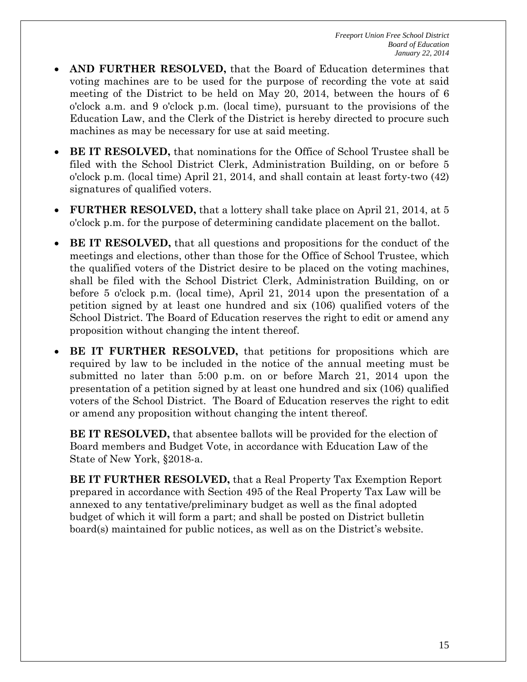- **AND FURTHER RESOLVED,** that the Board of Education determines that voting machines are to be used for the purpose of recording the vote at said meeting of the District to be held on May 20, 2014, between the hours of 6 o'clock a.m. and 9 o'clock p.m. (local time), pursuant to the provisions of the Education Law, and the Clerk of the District is hereby directed to procure such machines as may be necessary for use at said meeting.
- **BE IT RESOLVED,** that nominations for the Office of School Trustee shall be filed with the School District Clerk, Administration Building, on or before 5 o'clock p.m. (local time) April 21, 2014, and shall contain at least forty-two (42) signatures of qualified voters.
- **FURTHER RESOLVED,** that a lottery shall take place on April 21, 2014, at 5 o'clock p.m. for the purpose of determining candidate placement on the ballot.
- **BE IT RESOLVED,** that all questions and propositions for the conduct of the meetings and elections, other than those for the Office of School Trustee, which the qualified voters of the District desire to be placed on the voting machines, shall be filed with the School District Clerk, Administration Building, on or before 5 o'clock p.m. (local time), April 21, 2014 upon the presentation of a petition signed by at least one hundred and six (106) qualified voters of the School District. The Board of Education reserves the right to edit or amend any proposition without changing the intent thereof.
- **BE IT FURTHER RESOLVED,** that petitions for propositions which are required by law to be included in the notice of the annual meeting must be submitted no later than 5:00 p.m. on or before March 21, 2014 upon the presentation of a petition signed by at least one hundred and six (106) qualified voters of the School District. The Board of Education reserves the right to edit or amend any proposition without changing the intent thereof.

**BE IT RESOLVED,** that absentee ballots will be provided for the election of Board members and Budget Vote, in accordance with Education Law of the State of New York, §2018-a.

**BE IT FURTHER RESOLVED,** that a Real Property Tax Exemption Report prepared in accordance with Section 495 of the Real Property Tax Law will be annexed to any tentative/preliminary budget as well as the final adopted budget of which it will form a part; and shall be posted on District bulletin board(s) maintained for public notices, as well as on the District's website.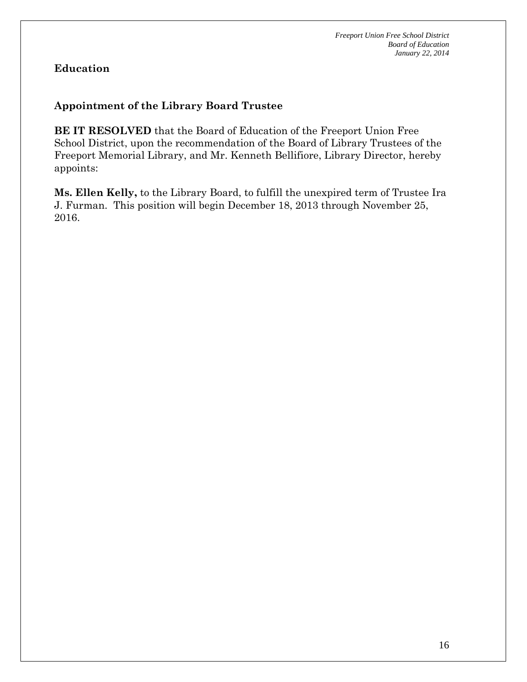### **Education**

### **Appointment of the Library Board Trustee**

**BE IT RESOLVED** that the Board of Education of the Freeport Union Free School District, upon the recommendation of the Board of Library Trustees of the Freeport Memorial Library, and Mr. Kenneth Bellifiore, Library Director, hereby appoints:

**Ms. Ellen Kelly,** to the Library Board, to fulfill the unexpired term of Trustee Ira J. Furman. This position will begin December 18, 2013 through November 25, 2016.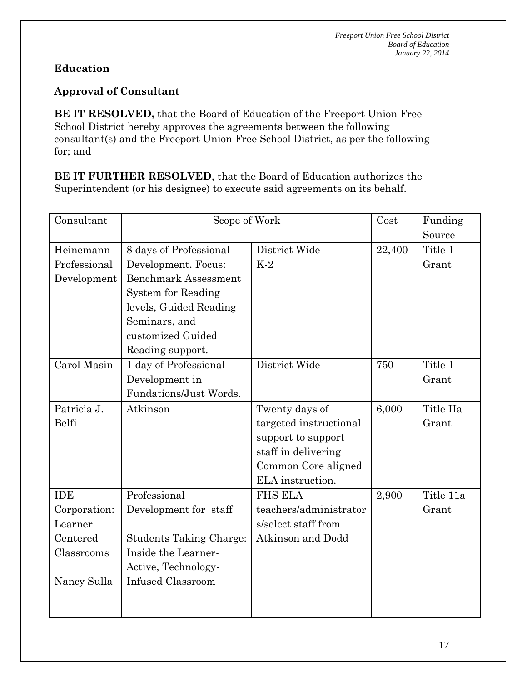## **Education**

### **Approval of Consultant**

**BE IT RESOLVED,** that the Board of Education of the Freeport Union Free School District hereby approves the agreements between the following consultant(s) and the Freeport Union Free School District, as per the following for; and

**BE IT FURTHER RESOLVED**, that the Board of Education authorizes the Superintendent (or his designee) to execute said agreements on its behalf.

| Consultant   | Scope of Work                  |                        | Cost   | Funding   |
|--------------|--------------------------------|------------------------|--------|-----------|
|              |                                |                        |        | Source    |
| Heinemann    | 8 days of Professional         | District Wide          | 22,400 | Title 1   |
| Professional | Development. Focus:            | $K-2$                  |        | Grant     |
| Development  | <b>Benchmark Assessment</b>    |                        |        |           |
|              | <b>System for Reading</b>      |                        |        |           |
|              | levels, Guided Reading         |                        |        |           |
|              | Seminars, and                  |                        |        |           |
|              | customized Guided              |                        |        |           |
|              | Reading support.               |                        |        |           |
| Carol Masin  | 1 day of Professional          | District Wide          | 750    | Title 1   |
|              | Development in                 |                        |        | Grant     |
|              | Fundations/Just Words.         |                        |        |           |
| Patricia J.  | Atkinson                       | Twenty days of         | 6,000  | Title IIa |
| Belfi        |                                | targeted instructional |        | Grant     |
|              |                                | support to support     |        |           |
|              |                                | staff in delivering    |        |           |
|              |                                | Common Core aligned    |        |           |
|              |                                | ELA instruction.       |        |           |
| <b>IDE</b>   | Professional                   | <b>FHS ELA</b>         | 2,900  | Title 11a |
| Corporation: | Development for staff          | teachers/administrator |        | Grant     |
| Learner      |                                | s/select staff from    |        |           |
| Centered     | <b>Students Taking Charge:</b> | Atkinson and Dodd      |        |           |
| Classrooms   | Inside the Learner-            |                        |        |           |
|              | Active, Technology-            |                        |        |           |
| Nancy Sulla  | <b>Infused Classroom</b>       |                        |        |           |
|              |                                |                        |        |           |
|              |                                |                        |        |           |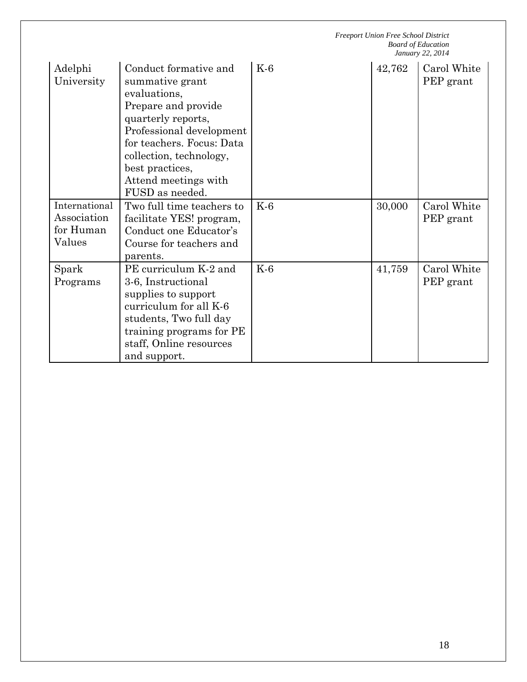*Freeport Union Free School District Board of Education January 22, 2014* Adelphi University Conduct formative and summative grant evaluations, Prepare and provide quarterly reports, Professional development for teachers. Focus: Data collection, technology, best practices, Attend meetings with FUSD as needed. K-6 142,762 Carol White PEP grant International Association for Human Values Two full time teachers to facilitate YES! program, Conduct one Educator's Course for teachers and parents. K-6 30,000 Carol White PEP grant Spark Programs PE curriculum K-2 and 3-6, Instructional supplies to support curriculum for all K-6 students, Two full day training programs for PE staff, Online resources and support. K-6 11,759 Carol White PEP grant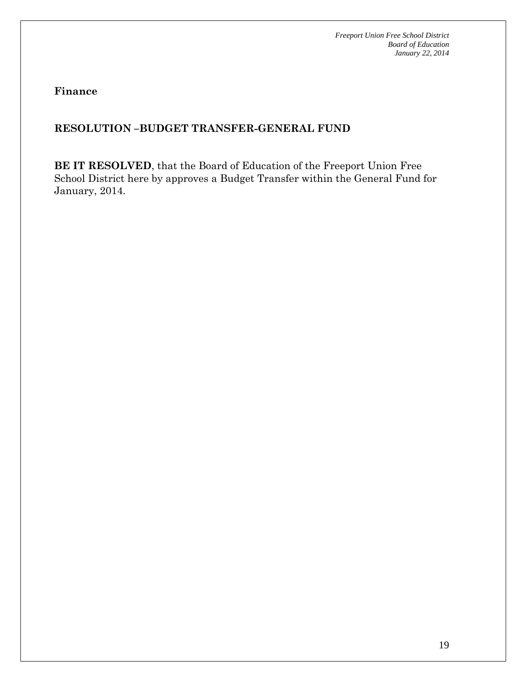**Finance**

### **RESOLUTION –BUDGET TRANSFER-GENERAL FUND**

**BE IT RESOLVED**, that the Board of Education of the Freeport Union Free School District here by approves a Budget Transfer within the General Fund for January, 2014.